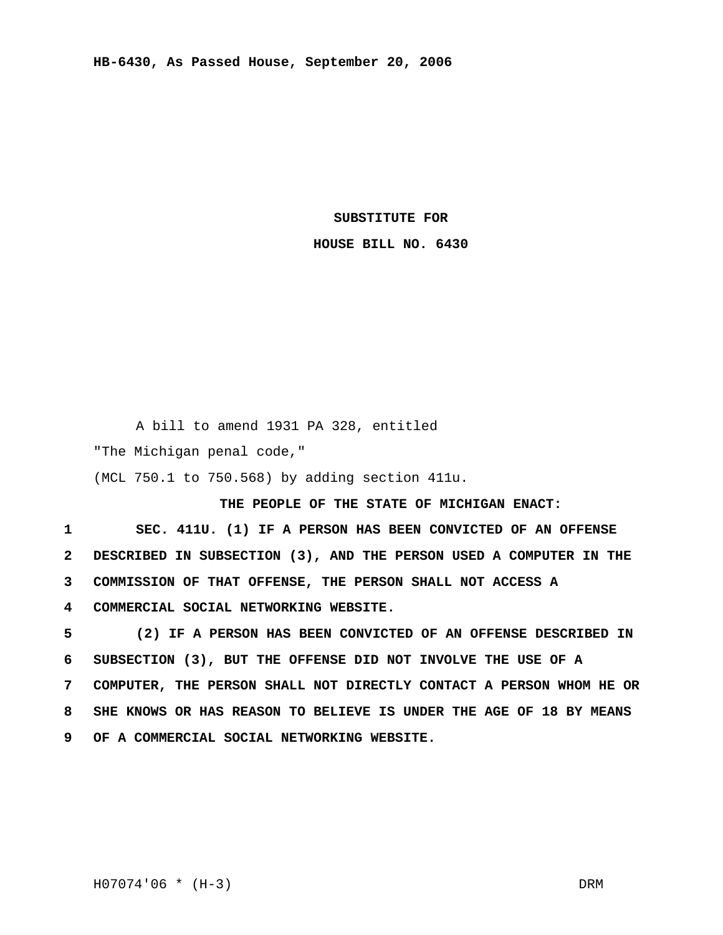## **SUBSTITUTE FOR**

## **HOUSE BILL NO. 6430**

A bill to amend 1931 PA 328, entitled

"The Michigan penal code,"

(MCL 750.1 to 750.568) by adding section 411u.

**THE PEOPLE OF THE STATE OF MICHIGAN ENACT:** 

**1 SEC. 411U. (1) IF A PERSON HAS BEEN CONVICTED OF AN OFFENSE 2 DESCRIBED IN SUBSECTION (3), AND THE PERSON USED A COMPUTER IN THE 3 COMMISSION OF THAT OFFENSE, THE PERSON SHALL NOT ACCESS A 4 COMMERCIAL SOCIAL NETWORKING WEBSITE.** 

**5 (2) IF A PERSON HAS BEEN CONVICTED OF AN OFFENSE DESCRIBED IN 6 SUBSECTION (3), BUT THE OFFENSE DID NOT INVOLVE THE USE OF A 7 COMPUTER, THE PERSON SHALL NOT DIRECTLY CONTACT A PERSON WHOM HE OR 8 SHE KNOWS OR HAS REASON TO BELIEVE IS UNDER THE AGE OF 18 BY MEANS 9 OF A COMMERCIAL SOCIAL NETWORKING WEBSITE.**